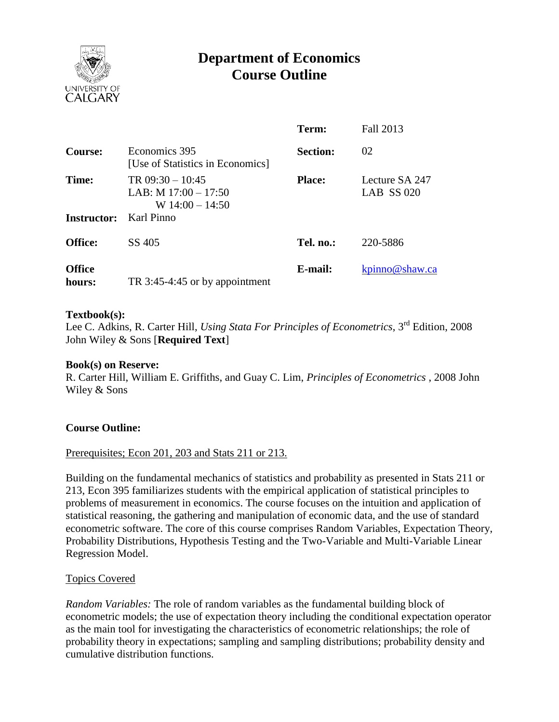

# **Department of Economics Course Outline**

|                         |                                                                   | Term:           | Fall 2013                      |
|-------------------------|-------------------------------------------------------------------|-----------------|--------------------------------|
| Course:                 | Economics 395<br>[Use of Statistics in Economics]                 | <b>Section:</b> | 02                             |
| Time:                   | TR $09:30 - 10:45$<br>LAB: M $17:00 - 17:50$<br>W $14:00 - 14:50$ | <b>Place:</b>   | Lecture SA 247<br>LAB $SS 020$ |
| <b>Instructor:</b>      | Karl Pinno                                                        |                 |                                |
| <b>Office:</b>          | SS 405                                                            | Tel. no.:       | 220-5886                       |
| <b>Office</b><br>hours: | TR 3:45-4:45 or by appointment                                    | E-mail:         | kpinno@shaw.ca                 |

## **Textbook(s):**

Lee C. Adkins, R. Carter Hill, *Using Stata For Principles of Econometrics*, 3rd Edition, 2008 John Wiley & Sons [**Required Text**]

#### **Book(s) on Reserve:**

R. Carter Hill, William E. Griffiths, and Guay C. Lim, *Principles of Econometrics* , 2008 John Wiley & Sons

# **Course Outline:**

#### Prerequisites; Econ 201, 203 and Stats 211 or 213.

Building on the fundamental mechanics of statistics and probability as presented in Stats 211 or 213, Econ 395 familiarizes students with the empirical application of statistical principles to problems of measurement in economics. The course focuses on the intuition and application of statistical reasoning, the gathering and manipulation of economic data, and the use of standard econometric software. The core of this course comprises Random Variables, Expectation Theory, Probability Distributions, Hypothesis Testing and the Two-Variable and Multi-Variable Linear Regression Model.

#### Topics Covered

*Random Variables:* The role of random variables as the fundamental building block of econometric models; the use of expectation theory including the conditional expectation operator as the main tool for investigating the characteristics of econometric relationships; the role of probability theory in expectations; sampling and sampling distributions; probability density and cumulative distribution functions.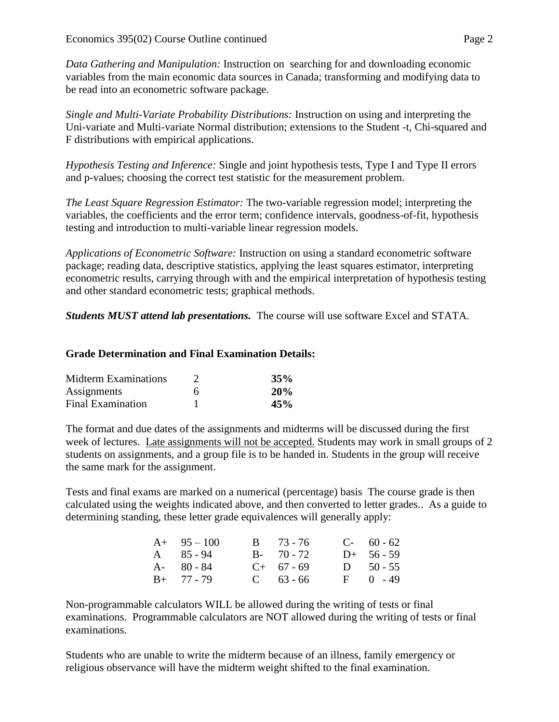*Data Gathering and Manipulation:* Instruction on searching for and downloading economic variables from the main economic data sources in Canada; transforming and modifying data to be read into an econometric software package.

*Single and Multi-Variate Probability Distributions:* Instruction on using and interpreting the Uni-variate and Multi-variate Normal distribution; extensions to the Student -t, Chi-squared and F distributions with empirical applications.

*Hypothesis Testing and Inference:* Single and joint hypothesis tests, Type I and Type II errors and p-values; choosing the correct test statistic for the measurement problem.

*The Least Square Regression Estimator:* The two-variable regression model; interpreting the variables, the coefficients and the error term; confidence intervals, goodness-of-fit, hypothesis testing and introduction to multi-variable linear regression models.

*Applications of Econometric Software:* Instruction on using a standard econometric software package; reading data, descriptive statistics, applying the least squares estimator, interpreting econometric results, carrying through with and the empirical interpretation of hypothesis testing and other standard econometric tests; graphical methods.

*Students MUST attend lab presentations.* The course will use software Excel and STATA.

# **Grade Determination and Final Examination Details:**

| <b>Midterm Examinations</b> |   | 35% |
|-----------------------------|---|-----|
| Assignments                 | 6 | 20% |
| <b>Final Examination</b>    |   | 45% |

The format and due dates of the assignments and midterms will be discussed during the first week of lectures. Late assignments will not be accepted. Students may work in small groups of 2 students on assignments, and a group file is to be handed in. Students in the group will receive the same mark for the assignment.

Tests and final exams are marked on a numerical (percentage) basis The course grade is then calculated using the weights indicated above, and then converted to letter grades.. As a guide to determining standing, these letter grade equivalences will generally apply:

| $A+ 95-100$       | $B = 73 - 76$ | $C-60-62$     |
|-------------------|---------------|---------------|
| $A \quad 85 - 94$ | $B - 70 - 72$ | $D+ 56 - 59$  |
| $A - 80 - 84$     | $C+ 67 - 69$  | $D = 50 - 55$ |
| $B+ 77 - 79$      | $C = 63 - 66$ | $F = 0 - 49$  |

Non-programmable calculators WILL be allowed during the writing of tests or final examinations. Programmable calculators are NOT allowed during the writing of tests or final examinations.

Students who are unable to write the midterm because of an illness, family emergency or religious observance will have the midterm weight shifted to the final examination.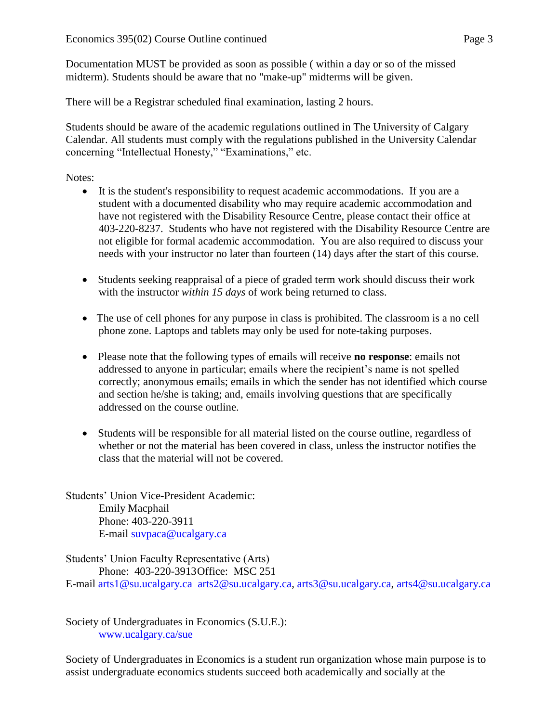Documentation MUST be provided as soon as possible ( within a day or so of the missed midterm). Students should be aware that no "make-up" midterms will be given.

There will be a Registrar scheduled final examination, lasting 2 hours.

Students should be aware of the academic regulations outlined in The University of Calgary Calendar. All students must comply with the regulations published in the University Calendar concerning "Intellectual Honesty," "Examinations," etc.

Notes:

- It is the student's responsibility to request academic accommodations. If you are a student with a documented disability who may require academic accommodation and have not registered with the Disability Resource Centre, please contact their office at 403-220-8237. Students who have not registered with the Disability Resource Centre are not eligible for formal academic accommodation. You are also required to discuss your needs with your instructor no later than fourteen (14) days after the start of this course.
- Students seeking reappraisal of a piece of graded term work should discuss their work with the instructor *within 15 days* of work being returned to class.
- The use of cell phones for any purpose in class is prohibited. The classroom is a no cell phone zone. Laptops and tablets may only be used for note-taking purposes.
- Please note that the following types of emails will receive **no response**: emails not addressed to anyone in particular; emails where the recipient's name is not spelled correctly; anonymous emails; emails in which the sender has not identified which course and section he/she is taking; and, emails involving questions that are specifically addressed on the course outline.
- Students will be responsible for all material listed on the course outline, regardless of whether or not the material has been covered in class, unless the instructor notifies the class that the material will not be covered.

Students' Union Vice-President Academic: Emily Macphail Phone: 403-220-3911 E-mail [suvpaca@ucalgary.ca](mailto:subpaca@ucalgary.ca)

Students' Union Faculty Representative (Arts) Phone: 403-220-3913Office: MSC 251 E-mail [arts1@su.ucalgary.ca](mailto:arts1@su.ucalgary.ca) [arts2@su.ucalgary.ca,](mailto:arts2@su.ucalgary.ca) [arts3@su.ucalgary.ca,](mailto:arts3@su.ucalgary.ca) [arts4@su.ucalgary.ca](mailto:arts4@su.ucalgary.ca)

Society of Undergraduates in Economics (S.U.E.): [www.ucalgary.ca/sue](http://www.fp.ucalgary.ca/econ)

Society of Undergraduates in Economics is a student run organization whose main purpose is to assist undergraduate economics students succeed both academically and socially at the